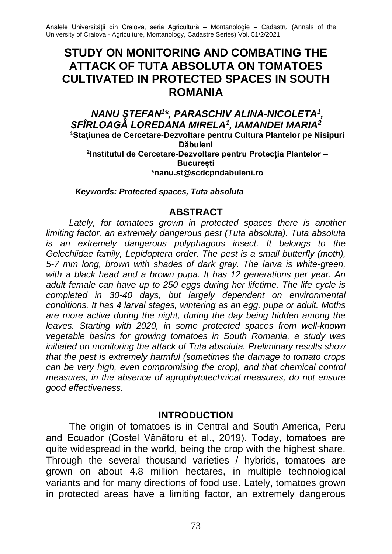# **STUDY ON MONITORING AND COMBATING THE ATTACK OF TUTA ABSOLUTA ON TOMATOES CULTIVATED IN PROTECTED SPACES IN SOUTH ROMANIA**

#### *NANU ȘTEFAN<sup>1</sup> \*, PARASCHIV ALINA-NICOLETA<sup>1</sup> , SFÎRLOAGĂ LOREDANA MIRELA<sup>1</sup> , IAMANDEI MARIA<sup>2</sup>* **<sup>1</sup>Stațiunea de Cercetare-Dezvoltare pentru Cultura Plantelor pe Nisipuri Dăbuleni 2 Institutul de Cercetare-Dezvoltare pentru Protecția Plantelor – București \*nanu.st@scdcpndabuleni.ro**

*Keywords: Protected spaces, Tuta absoluta*

#### **ABSTRACT**

Lately, for tomatoes grown in protected spaces there is another *limiting factor, an extremely dangerous pest (Tuta absoluta). Tuta absoluta is an extremely dangerous polyphagous insect. It belongs to the Gelechiidae family, Lepidoptera order. The pest is a small butterfly (moth), 5-7 mm long, brown with shades of dark gray. The larva is white-green, with a black head and a brown pupa. It has 12 generations per year. An adult female can have up to 250 eggs during her lifetime. The life cycle is completed in 30-40 days, but largely dependent on environmental conditions. It has 4 larval stages, wintering as an egg, pupa or adult. Moths are more active during the night, during the day being hidden among the leaves. Starting with 2020, in some protected spaces from well-known vegetable basins for growing tomatoes in South Romania, a study was initiated on monitoring the attack of Tuta absoluta. Preliminary results show that the pest is extremely harmful (sometimes the damage to tomato crops can be very high, even compromising the crop), and that chemical control measures, in the absence of agrophytotechnical measures, do not ensure good effectiveness.*

#### **INTRODUCTION**

The origin of tomatoes is in Central and South America, Peru and Ecuador (Costel Vânătoru et al., 2019). Today, tomatoes are quite widespread in the world, being the crop with the highest share. Through the several thousand varieties / hybrids, tomatoes are grown on about 4.8 million hectares, in multiple technological variants and for many directions of food use. Lately, tomatoes grown in protected areas have a limiting factor, an extremely dangerous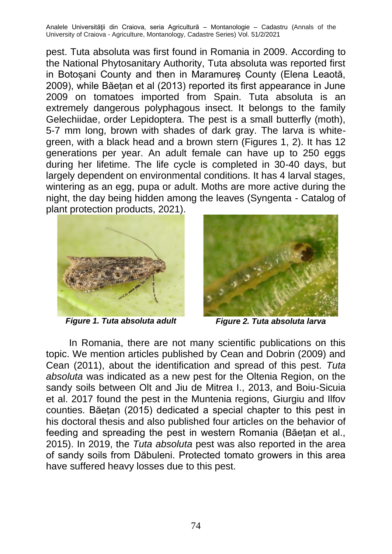pest. Tuta absoluta was first found in Romania in 2009. According to the National Phytosanitary Authority, Tuta absoluta was reported first in Botosani County and then in Maramures County (Elena Leaotă, 2009), while Băețan et al (2013) reported its first appearance in June 2009 on tomatoes imported from Spain. Tuta absoluta is an extremely dangerous polyphagous insect. It belongs to the family Gelechiidae, order Lepidoptera. The pest is a small butterfly (moth), 5-7 mm long, brown with shades of dark gray. The larva is whitegreen, with a black head and a brown stern (Figures 1, 2). It has 12 generations per year. An adult female can have up to 250 eggs during her lifetime. The life cycle is completed in 30-40 days, but largely dependent on environmental conditions. It has 4 larval stages, wintering as an egg, pupa or adult. Moths are more active during the night, the day being hidden among the leaves (Syngenta - Catalog of plant protection products, 2021).





*Figure 1. Tuta absoluta adult Figure 2. Tuta absoluta larva*

In Romania, there are not many scientific publications on this topic. We mention articles published by Cean and Dobrin (2009) and Cean (2011), about the identification and spread of this pest. *Tuta absoluta* was indicated as a new pest for the Oltenia Region, on the sandy soils between Olt and Jiu de Mitrea I., 2013, and Boiu-Sicuia et al. 2017 found the pest in the Muntenia regions, Giurgiu and Ilfov counties. Băeṭan (2015) dedicated a special chapter to this pest in his doctoral thesis and also published four articles on the behavior of feeding and spreading the pest in western Romania (Băetan et al., 2015). In 2019, the *Tuta absoluta* pest was also reported in the area of sandy soils from Dăbuleni. Protected tomato growers in this area have suffered heavy losses due to this pest.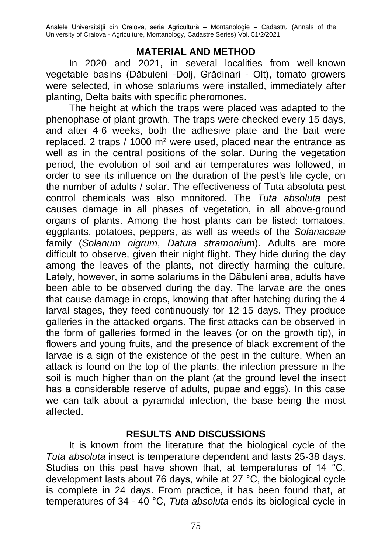## **MATERIAL AND METHOD**

In 2020 and 2021, in several localities from well-known vegetable basins (Dăbuleni -Dolj, Grădinari - Olt), tomato growers were selected, in whose solariums were installed, immediately after planting, Delta baits with specific pheromones.

The height at which the traps were placed was adapted to the phenophase of plant growth. The traps were checked every 15 days, and after 4-6 weeks, both the adhesive plate and the bait were replaced. 2 traps / 1000 m² were used, placed near the entrance as well as in the central positions of the solar. During the vegetation period, the evolution of soil and air temperatures was followed, in order to see its influence on the duration of the pest's life cycle, on the number of adults / solar. The effectiveness of Tuta absoluta pest control chemicals was also monitored. The *Tuta absoluta* pest causes damage in all phases of vegetation, in all above-ground organs of plants. Among the host plants can be listed: tomatoes, eggplants, potatoes, peppers, as well as weeds of the *Solanaceae* family (*Solanum nigrum*, *Datura stramonium*). Adults are more difficult to observe, given their night flight. They hide during the day among the leaves of the plants, not directly harming the culture. Lately, however, in some solariums in the Dăbuleni area, adults have been able to be observed during the day. The larvae are the ones that cause damage in crops, knowing that after hatching during the 4 larval stages, they feed continuously for 12-15 days. They produce galleries in the attacked organs. The first attacks can be observed in the form of galleries formed in the leaves (or on the growth tip), in flowers and young fruits, and the presence of black excrement of the larvae is a sign of the existence of the pest in the culture. When an attack is found on the top of the plants, the infection pressure in the soil is much higher than on the plant (at the ground level the insect has a considerable reserve of adults, pupae and eggs). In this case we can talk about a pyramidal infection, the base being the most affected.

# **RESULTS AND DISCUSSIONS**

It is known from the literature that the biological cycle of the *Tuta absoluta* insect is temperature dependent and lasts 25-38 days. Studies on this pest have shown that, at temperatures of 14 °C, development lasts about 76 days, while at 27 °C, the biological cycle is complete in 24 days. From practice, it has been found that, at temperatures of 34 - 40 °C, *Tuta absoluta* ends its biological cycle in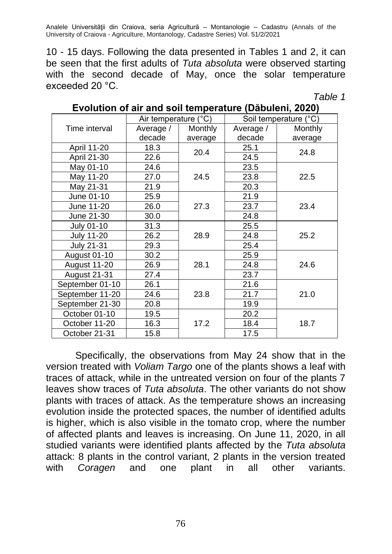10 - 15 days. Following the data presented in Tables 1 and 2, it can be seen that the first adults of *Tuta absoluta* were observed starting with the second decade of May, once the solar temperature exceeded 20 °C.

*Table 1*

|                     | Air temperature (°C) |         | Soil temperature (°C) |         |  |  |
|---------------------|----------------------|---------|-----------------------|---------|--|--|
| Time interval       | Average /            | Monthly | Average /             | Monthly |  |  |
|                     | decade               | average | decade                | average |  |  |
| April 11-20         | 18.3                 | 20.4    | 25.1                  | 24.8    |  |  |
| April 21-30         | 22.6                 |         | 24.5                  |         |  |  |
| May 01-10           | 24.6                 |         | 23.5                  |         |  |  |
| May 11-20           | 27.0                 | 24.5    | 23.8                  | 22.5    |  |  |
| May 21-31           | 21.9                 |         | 20.3                  |         |  |  |
| June 01-10          | 25.9                 |         | 21.9                  |         |  |  |
| June 11-20          | 26.0                 | 27.3    | 23.7                  | 23.4    |  |  |
| June 21-30          | 30.0                 |         | 24.8                  |         |  |  |
| <b>July 01-10</b>   | 31.3                 |         | 25.5                  |         |  |  |
| <b>July 11-20</b>   | 26.2                 | 28.9    | 24.8                  | 25.2    |  |  |
| <b>July 21-31</b>   | 29.3                 |         | 25.4                  |         |  |  |
| <b>August 01-10</b> | 30.2                 |         | 25.9                  |         |  |  |
| August 11-20        | 26.9                 | 28.1    | 24.8                  | 24.6    |  |  |
| August 21-31        | 27.4                 |         | 23.7                  |         |  |  |
| September 01-10     | 26.1                 |         | 21.6                  |         |  |  |
| September 11-20     | 24.6                 | 23.8    | 21.7                  | 21.0    |  |  |
| September 21-30     | 20.8                 |         | 19.9                  |         |  |  |
| October 01-10       | 19.5                 |         | 20.2                  |         |  |  |
| October 11-20       | 16.3                 | 17.2    | 18.4                  | 18.7    |  |  |
| October 21-31       | 15.8                 |         | 17.5                  |         |  |  |

#### **Evolution of air and soil temperature (Dăbuleni, 2020)**

Specifically, the observations from May 24 show that in the version treated with *Voliam Targo* one of the plants shows a leaf with traces of attack, while in the untreated version on four of the plants 7 leaves show traces of *Tuta absoluta*. The other variants do not show plants with traces of attack. As the temperature shows an increasing evolution inside the protected spaces, the number of identified adults is higher, which is also visible in the tomato crop, where the number of affected plants and leaves is increasing. On June 11, 2020, in all studied variants were identified plants affected by the *Tuta absoluta* attack: 8 plants in the control variant, 2 plants in the version treated with *Coragen* and one plant in all other variants.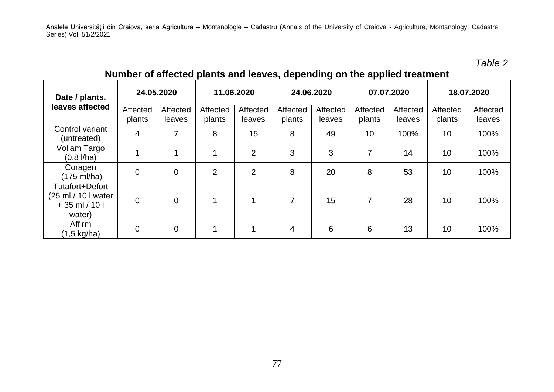*Table 2*

|                                                                     | plante and leaved, appoilantly on the applied treatment |                    |                    |                    |                    |                    |                    |                    |                    |                    |
|---------------------------------------------------------------------|---------------------------------------------------------|--------------------|--------------------|--------------------|--------------------|--------------------|--------------------|--------------------|--------------------|--------------------|
| Date / plants,<br>leaves affected                                   | 24.05.2020                                              |                    | 11.06.2020         |                    | 24.06.2020         |                    | 07.07.2020         |                    | 18.07.2020         |                    |
|                                                                     | Affected<br>plants                                      | Affected<br>leaves | Affected<br>plants | Affected<br>leaves | Affected<br>plants | Affected<br>leaves | Affected<br>plants | Affected<br>leaves | Affected<br>plants | Affected<br>leaves |
| Control variant<br>(untreated)                                      | 4                                                       | 7                  | 8                  | 15                 | 8                  | 49                 | 10                 | 100%               | 10                 | 100%               |
| Voliam Targo<br>$(0,8 \text{ I/ha})$                                |                                                         |                    |                    | $\overline{2}$     | 3                  | 3                  | 7                  | 14                 | 10                 | 100%               |
| Coragen<br>(175 ml/ha)                                              | 0                                                       | 0                  | $\overline{2}$     | $\overline{2}$     | 8                  | 20                 | 8                  | 53                 | 10                 | 100%               |
| Tutafort+Defort<br>(25 ml / 10 I water<br>$+35$ ml / 10 l<br>water) | 0                                                       | $\Omega$           | 4                  | 4                  | 7                  | 15                 | 7                  | 28                 | 10                 | 100%               |
| Affirm<br>$(1,5 \text{ kg/ha})$                                     | 0                                                       | 0                  |                    | 1                  | 4                  | 6                  | 6                  | 13                 | 10                 | 100%               |

# **Number of affected plants and leaves, depending on the applied treatment**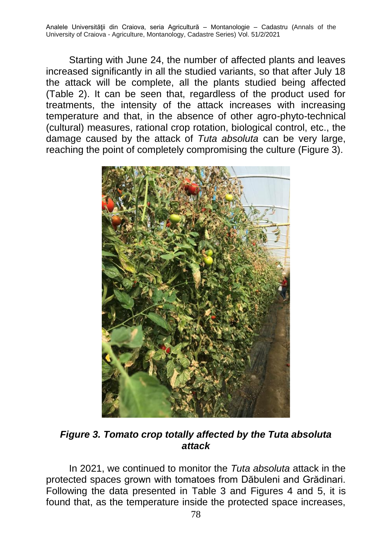Starting with June 24, the number of affected plants and leaves increased significantly in all the studied variants, so that after July 18 the attack will be complete, all the plants studied being affected (Table 2). It can be seen that, regardless of the product used for treatments, the intensity of the attack increases with increasing temperature and that, in the absence of other agro-phyto-technical (cultural) measures, rational crop rotation, biological control, etc., the damage caused by the attack of *Tuta absoluta* can be very large, reaching the point of completely compromising the culture (Figure 3).



*Figure 3. Tomato crop totally affected by the Tuta absoluta attack*

In 2021, we continued to monitor the *Tuta absoluta* attack in the protected spaces grown with tomatoes from Dăbuleni and Grădinari. Following the data presented in Table 3 and Figures 4 and 5, it is found that, as the temperature inside the protected space increases,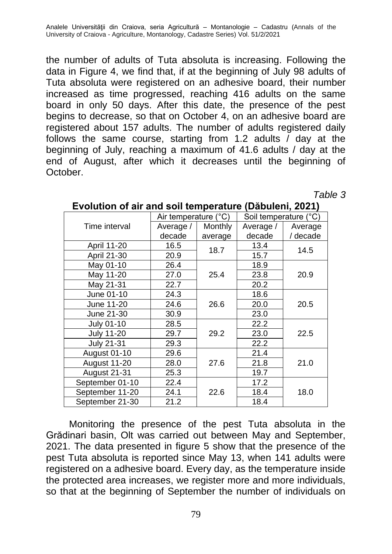the number of adults of Tuta absoluta is increasing. Following the data in Figure 4, we find that, if at the beginning of July 98 adults of Tuta absoluta were registered on an adhesive board, their number increased as time progressed, reaching 416 adults on the same board in only 50 days. After this date, the presence of the pest begins to decrease, so that on October 4, on an adhesive board are registered about 157 adults. The number of adults registered daily follows the same course, starting from 1.2 adults / day at the beginning of July, reaching a maximum of 41.6 adults / day at the end of August, after which it decreases until the beginning of October.

*Table 3*

|                     | Air temperature (°C) |                | Soil temperature (°C) |          |  |
|---------------------|----------------------|----------------|-----------------------|----------|--|
| Time interval       | Average /            | <b>Monthly</b> | Average /             | Average  |  |
|                     | decade               | average        | decade                | / decade |  |
| April 11-20         | 16.5                 | 18.7           | 13.4                  | 14.5     |  |
| April 21-30         | 20.9                 |                | 15.7                  |          |  |
| May 01-10           | 26.4                 |                | 18.9                  | 20.9     |  |
| May 11-20           | 27.0                 | 25.4           | 23.8                  |          |  |
| May 21-31           | 22.7                 |                | 20.2                  |          |  |
| June 01-10          | 24.3                 |                | 18.6                  | 20.5     |  |
| June 11-20          | 24.6                 | 26.6           | 20.0                  |          |  |
| June 21-30          | 30.9                 |                | 23.0                  |          |  |
| July 01-10          | 28.5                 |                | 22.2                  |          |  |
| <b>July 11-20</b>   | 29.7                 | 29.2           | 23.0                  | 22.5     |  |
| <b>July 21-31</b>   | 29.3                 |                | 22.2                  |          |  |
| <b>August 01-10</b> | 29.6                 |                | 21.4                  |          |  |
| August 11-20        | 28.0                 | 27.6           | 21.8                  | 21.0     |  |
| August 21-31        | 25.3                 |                | 19.7                  |          |  |
| September 01-10     | 22.4                 |                | 17.2                  |          |  |
| September 11-20     | 24.1                 | 22.6           | 18.4                  | 18.0     |  |
| September 21-30     | 21.2                 |                | 18.4                  |          |  |

### **Evolution of air and soil temperature (Dăbuleni, 2021)**

Monitoring the presence of the pest Tuta absoluta in the Grădinari basin, Olt was carried out between May and September, 2021. The data presented in figure 5 show that the presence of the pest Tuta absoluta is reported since May 13, when 141 adults were registered on a adhesive board. Every day, as the temperature inside the protected area increases, we register more and more individuals, so that at the beginning of September the number of individuals on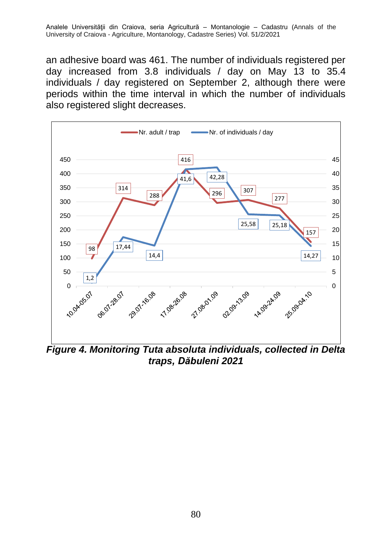an adhesive board was 461. The number of individuals registered per day increased from 3.8 individuals / day on May 13 to 35.4 individuals / day registered on September 2, although there were periods within the time interval in which the number of individuals also registered slight decreases.



*Figure 4. Monitoring Tuta absoluta individuals, collected in Delta traps, Dăbuleni 2021*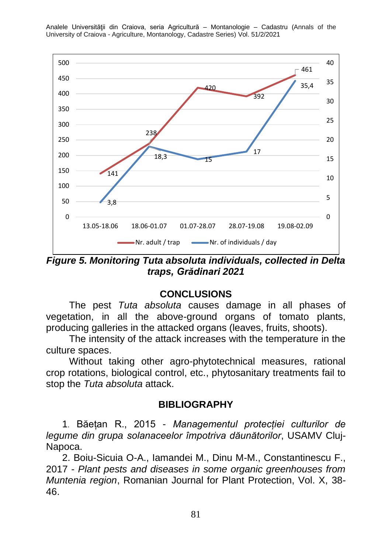

Analele Universităţii din Craiova, seria Agricultură – Montanologie – Cadastru (Annals of the University of Craiova - Agriculture, Montanology, Cadastre Series) Vol. 51/2/2021

*Figure 5. Monitoring Tuta absoluta individuals, collected in Delta traps, Grădinari 2021*

# **CONCLUSIONS**

The pest *Tuta absoluta* causes damage in all phases of vegetation, in all the above-ground organs of tomato plants, producing galleries in the attacked organs (leaves, fruits, shoots).

The intensity of the attack increases with the temperature in the culture spaces.

Without taking other agro-phytotechnical measures, rational crop rotations, biological control, etc., phytosanitary treatments fail to stop the *Tuta absoluta* attack.

### **BIBLIOGRAPHY**

1. Băețan R., 2015 - *Managementul protecției culturilor de legume din grupa solanaceelor împotriva dăunătorilor*, USAMV Cluj-Napoca.

2. Boiu-Sicuia O-A., Iamandei M., Dinu M-M., Constantinescu F., 2017 - *Plant pests and diseases in some organic greenhouses from Muntenia region*, Romanian Journal for Plant Protection, Vol. X, 38- 46.